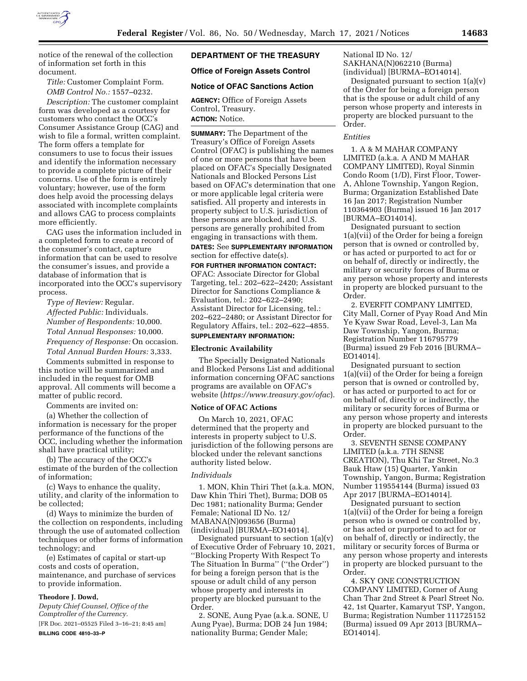

notice of the renewal of the collection of information set forth in this document.

*Title:* Customer Complaint Form. *OMB Control No.:* 1557–0232.

*Description:* The customer complaint form was developed as a courtesy for customers who contact the OCC's Consumer Assistance Group (CAG) and wish to file a formal, written complaint. The form offers a template for consumers to use to focus their issues and identify the information necessary to provide a complete picture of their concerns. Use of the form is entirely voluntary; however, use of the form does help avoid the processing delays associated with incomplete complaints and allows CAG to process complaints more efficiently.

CAG uses the information included in a completed form to create a record of the consumer's contact, capture information that can be used to resolve the consumer's issues, and provide a database of information that is incorporated into the OCC's supervisory process.

*Type of Review:* Regular. *Affected Public:* Individuals. *Number of Respondents:* 10,000. *Total Annual Responses:* 10,000. *Frequency of Response:* On occasion. *Total Annual Burden Hours:* 3,333.

Comments submitted in response to this notice will be summarized and included in the request for OMB approval. All comments will become a matter of public record.

Comments are invited on:

(a) Whether the collection of information is necessary for the proper performance of the functions of the OCC, including whether the information shall have practical utility;

(b) The accuracy of the OCC's estimate of the burden of the collection of information;

(c) Ways to enhance the quality, utility, and clarity of the information to be collected;

(d) Ways to minimize the burden of the collection on respondents, including through the use of automated collection techniques or other forms of information technology; and

(e) Estimates of capital or start-up costs and costs of operation, maintenance, and purchase of services to provide information.

### **Theodore J. Dowd,**

*Deputy Chief Counsel, Office of the Comptroller of the Currency.* 

[FR Doc. 2021–05525 Filed 3–16–21; 8:45 am] **BILLING CODE 4810–33–P** 

# **DEPARTMENT OF THE TREASURY**

#### **Office of Foreign Assets Control**

### **Notice of OFAC Sanctions Action**

**AGENCY:** Office of Foreign Assets Control, Treasury.

# **ACTION:** Notice.

**SUMMARY:** The Department of the Treasury's Office of Foreign Assets Control (OFAC) is publishing the names of one or more persons that have been placed on OFAC's Specially Designated Nationals and Blocked Persons List based on OFAC's determination that one or more applicable legal criteria were satisfied. All property and interests in property subject to U.S. jurisdiction of these persons are blocked, and U.S. persons are generally prohibited from engaging in transactions with them.

#### **DATES:** See **SUPPLEMENTARY INFORMATION** section for effective date(s).

**FOR FURTHER INFORMATION CONTACT:**  OFAC: Associate Director for Global Targeting, tel.: 202–622–2420; Assistant Director for Sanctions Compliance & Evaluation, tel.: 202–622–2490; Assistant Director for Licensing, tel.: 202–622–2480; or Assistant Director for Regulatory Affairs, tel.: 202–622–4855.

### **SUPPLEMENTARY INFORMATION:**

### **Electronic Availability**

The Specially Designated Nationals and Blocked Persons List and additional information concerning OFAC sanctions programs are available on OFAC's website (*<https://www.treasury.gov/ofac>*).

#### **Notice of OFAC Actions**

On March 10, 2021, OFAC determined that the property and interests in property subject to U.S. jurisdiction of the following persons are blocked under the relevant sanctions authority listed below.

#### *Individuals*

1. MON, Khin Thiri Thet (a.k.a. MON, Daw Khin Thiri Thet), Burma; DOB 05 Dec 1981; nationality Burma; Gender Female; National ID No. 12/ MABANA(N)093656 (Burma) (individual) [BURMA–EO14014].

Designated pursuant to section  $1(a)(v)$ of Executive Order of February 10, 2021, ''Blocking Property With Respect To The Situation In Burma'' (''the Order'') for being a foreign person that is the spouse or adult child of any person whose property and interests in property are blocked pursuant to the Order.

2. SONE, Aung Pyae (a.k.a. SONE, U Aung Pyae), Burma; DOB 24 Jun 1984; nationality Burma; Gender Male;

National ID No. 12/ SAKHANA(N)062210 (Burma) (individual) [BURMA–EO14014].

Designated pursuant to section  $1(a)(v)$ of the Order for being a foreign person that is the spouse or adult child of any person whose property and interests in property are blocked pursuant to the Order.

### *Entities*

1. A & M MAHAR COMPANY LIMITED (a.k.a. A AND M MAHAR COMPANY LIMITED), Royal Sinmin Condo Room (1/D), First Floor, Tower-A, Ahlone Township, Yangon Region, Burma; Organization Established Date 16 Jan 2017; Registration Number 110364903 (Burma) issued 16 Jan 2017 [BURMA–EO14014].

Designated pursuant to section 1(a)(vii) of the Order for being a foreign person that is owned or controlled by, or has acted or purported to act for or on behalf of, directly or indirectly, the military or security forces of Burma or any person whose property and interests in property are blocked pursuant to the Order.

2. EVERFIT COMPANY LIMITED, City Mall, Corner of Pyay Road And Min Ye Kyaw Swar Road, Level-3, Lan Ma Daw Township, Yangon, Burma; Registration Number 116795779 (Burma) issued 29 Feb 2016 [BURMA– EO14014].

Designated pursuant to section 1(a)(vii) of the Order for being a foreign person that is owned or controlled by, or has acted or purported to act for or on behalf of, directly or indirectly, the military or security forces of Burma or any person whose property and interests in property are blocked pursuant to the Order.

3. SEVENTH SENSE COMPANY LIMITED (a.k.a. 7TH SENSE CREATION), Thu Khi Tar Street, No.3 Bauk Htaw (15) Quarter, Yankin Township, Yangon, Burma; Registration Number 119554144 (Burma) issued 03 Apr 2017 [BURMA–EO14014].

Designated pursuant to section 1(a)(vii) of the Order for being a foreign person who is owned or controlled by, or has acted or purported to act for or on behalf of, directly or indirectly, the military or security forces of Burma or any person whose property and interests in property are blocked pursuant to the Order.

4. SKY ONE CONSTRUCTION COMPANY LIMITED, Corner of Aung Chan Thar 2nd Street & Pearl Street No. 42, 1st Quarter, Kamaryut TSP, Yangon, Burma; Registration Number 111725152 (Burma) issued 09 Apr 2013 [BURMA– EO14014].